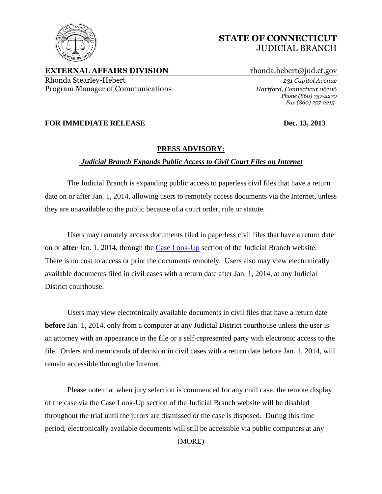

**EXTERNAL AFFAIRS DIVISION** rhonda.hebert@jud.ct.gov Rhonda Stearley-Hebert *231 Capitol Avenue* Program Manager of Communications *Hartford, Connecticut 06106*

*Phone (860) 757-2270 Fax (860) 757-2215*

## **FOR IMMEDIATE RELEASE Dec. 13, 2013**

## **PRESS ADVISORY:**

## *Judicial Branch Expands Public Access to Civil Court Files on Internet*

The Judicial Branch is expanding public access to paperless civil files that have a return date on or after Jan. 1, 2014, allowing users to remotely access documents via the Internet, unless they are unavailable to the public because of a court order, rule or statute.

Users may remotely access documents filed in paperless civil files that have a return date on or **after** Jan. 1, 2014, through the [Case Look-Up](http://civilinquiry.jud.ct.gov/) section of the Judicial Branch website. There is no cost to access or print the documents remotely. Users also may view electronically available documents filed in civil cases with a return date after Jan. 1, 2014, at any Judicial District courthouse.

Users may view electronically available documents in civil files that have a return date **before** Jan. 1, 2014, only from a computer at any Judicial District courthouse unless the user is an attorney with an appearance in the file or a self-represented party with electronic access to the file. Orders and memoranda of decision in civil cases with a return date before Jan. 1, 2014, will remain accessible through the Internet.

Please note that when jury selection is commenced for any civil case, the remote display of the case via the Case Look-Up section of the Judicial Branch website will be disabled throughout the trial until the jurors are dismissed or the case is disposed. During this time period, electronically available documents will still be accessible via public computers at any

(MORE)